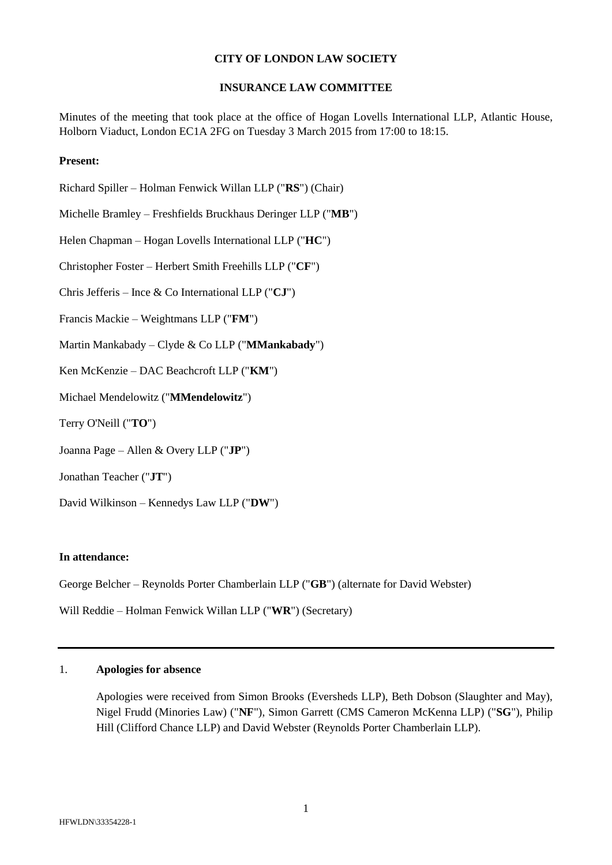## **CITY OF LONDON LAW SOCIETY**

## **INSURANCE LAW COMMITTEE**

Minutes of the meeting that took place at the office of Hogan Lovells International LLP, Atlantic House, Holborn Viaduct, London EC1A 2FG on Tuesday 3 March 2015 from 17:00 to 18:15.

#### **Present:**

- Richard Spiller Holman Fenwick Willan LLP ("**RS**") (Chair)
- Michelle Bramley Freshfields Bruckhaus Deringer LLP ("**MB**")
- Helen Chapman Hogan Lovells International LLP ("**HC**")
- Christopher Foster Herbert Smith Freehills LLP ("**CF**")
- Chris Jefferis Ince & Co International LLP ("**CJ**")
- Francis Mackie Weightmans LLP ("**FM**")
- Martin Mankabady Clyde & Co LLP ("**MMankabady**")
- Ken McKenzie DAC Beachcroft LLP ("**KM**")
- Michael Mendelowitz ("**MMendelowitz**")
- Terry O'Neill ("**TO**")
- Joanna Page Allen & Overy LLP ("**JP**")
- Jonathan Teacher ("**JT**")
- David Wilkinson Kennedys Law LLP ("**DW**")

#### **In attendance:**

George Belcher – Reynolds Porter Chamberlain LLP ("**GB**") (alternate for David Webster)

Will Reddie – Holman Fenwick Willan LLP ("**WR**") (Secretary)

## 1. **Apologies for absence**

Apologies were received from Simon Brooks (Eversheds LLP), Beth Dobson (Slaughter and May), Nigel Frudd (Minories Law) ("**NF**"), Simon Garrett (CMS Cameron McKenna LLP) ("**SG**"), Philip Hill (Clifford Chance LLP) and David Webster (Reynolds Porter Chamberlain LLP).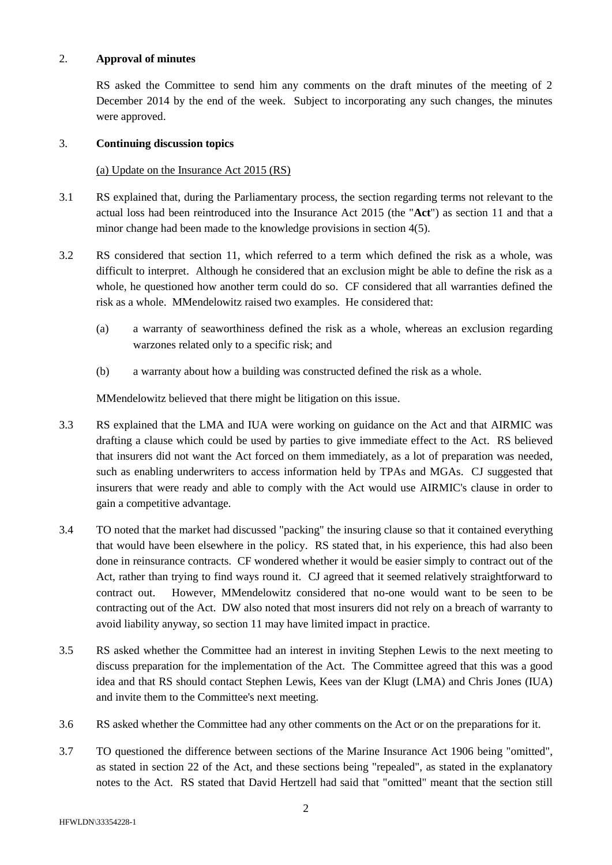#### 2. **Approval of minutes**

RS asked the Committee to send him any comments on the draft minutes of the meeting of 2 December 2014 by the end of the week. Subject to incorporating any such changes, the minutes were approved.

# 3. **Continuing discussion topics**

#### (a) Update on the Insurance Act 2015 (RS)

- 3.1 RS explained that, during the Parliamentary process, the section regarding terms not relevant to the actual loss had been reintroduced into the Insurance Act 2015 (the "**Act**") as section 11 and that a minor change had been made to the knowledge provisions in section 4(5).
- 3.2 RS considered that section 11, which referred to a term which defined the risk as a whole, was difficult to interpret. Although he considered that an exclusion might be able to define the risk as a whole, he questioned how another term could do so. CF considered that all warranties defined the risk as a whole. MMendelowitz raised two examples. He considered that:
	- (a) a warranty of seaworthiness defined the risk as a whole, whereas an exclusion regarding warzones related only to a specific risk; and
	- (b) a warranty about how a building was constructed defined the risk as a whole.

MMendelowitz believed that there might be litigation on this issue.

- 3.3 RS explained that the LMA and IUA were working on guidance on the Act and that AIRMIC was drafting a clause which could be used by parties to give immediate effect to the Act. RS believed that insurers did not want the Act forced on them immediately, as a lot of preparation was needed, such as enabling underwriters to access information held by TPAs and MGAs. CJ suggested that insurers that were ready and able to comply with the Act would use AIRMIC's clause in order to gain a competitive advantage.
- 3.4 TO noted that the market had discussed "packing" the insuring clause so that it contained everything that would have been elsewhere in the policy. RS stated that, in his experience, this had also been done in reinsurance contracts. CF wondered whether it would be easier simply to contract out of the Act, rather than trying to find ways round it. CJ agreed that it seemed relatively straightforward to contract out. However, MMendelowitz considered that no-one would want to be seen to be contracting out of the Act. DW also noted that most insurers did not rely on a breach of warranty to avoid liability anyway, so section 11 may have limited impact in practice.
- 3.5 RS asked whether the Committee had an interest in inviting Stephen Lewis to the next meeting to discuss preparation for the implementation of the Act. The Committee agreed that this was a good idea and that RS should contact Stephen Lewis, Kees van der Klugt (LMA) and Chris Jones (IUA) and invite them to the Committee's next meeting.
- 3.6 RS asked whether the Committee had any other comments on the Act or on the preparations for it.
- 3.7 TO questioned the difference between sections of the Marine Insurance Act 1906 being "omitted", as stated in section 22 of the Act, and these sections being "repealed", as stated in the explanatory notes to the Act. RS stated that David Hertzell had said that "omitted" meant that the section still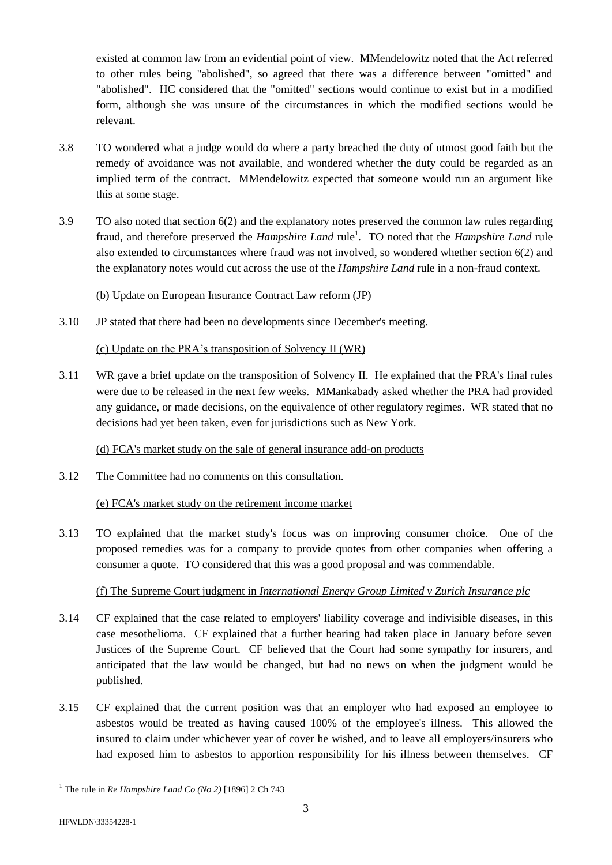existed at common law from an evidential point of view. MMendelowitz noted that the Act referred to other rules being "abolished", so agreed that there was a difference between "omitted" and "abolished". HC considered that the "omitted" sections would continue to exist but in a modified form, although she was unsure of the circumstances in which the modified sections would be relevant.

- 3.8 TO wondered what a judge would do where a party breached the duty of utmost good faith but the remedy of avoidance was not available, and wondered whether the duty could be regarded as an implied term of the contract. MMendelowitz expected that someone would run an argument like this at some stage.
- 3.9 TO also noted that section 6(2) and the explanatory notes preserved the common law rules regarding fraud, and therefore preserved the *Hampshire Land* rule<sup>1</sup>. TO noted that the *Hampshire Land* rule also extended to circumstances where fraud was not involved, so wondered whether section 6(2) and the explanatory notes would cut across the use of the *Hampshire Land* rule in a non-fraud context.

## (b) Update on European Insurance Contract Law reform (JP)

3.10 JP stated that there had been no developments since December's meeting.

## (c) Update on the PRA's transposition of Solvency II (WR)

3.11 WR gave a brief update on the transposition of Solvency II. He explained that the PRA's final rules were due to be released in the next few weeks. MMankabady asked whether the PRA had provided any guidance, or made decisions, on the equivalence of other regulatory regimes. WR stated that no decisions had yet been taken, even for jurisdictions such as New York.

(d) FCA's market study on the sale of general insurance add-on products

3.12 The Committee had no comments on this consultation.

# (e) FCA's market study on the retirement income market

3.13 TO explained that the market study's focus was on improving consumer choice. One of the proposed remedies was for a company to provide quotes from other companies when offering a consumer a quote. TO considered that this was a good proposal and was commendable.

# (f) The Supreme Court judgment in *International Energy Group Limited v Zurich Insurance plc*

- 3.14 CF explained that the case related to employers' liability coverage and indivisible diseases, in this case mesothelioma. CF explained that a further hearing had taken place in January before seven Justices of the Supreme Court. CF believed that the Court had some sympathy for insurers, and anticipated that the law would be changed, but had no news on when the judgment would be published.
- 3.15 CF explained that the current position was that an employer who had exposed an employee to asbestos would be treated as having caused 100% of the employee's illness. This allowed the insured to claim under whichever year of cover he wished, and to leave all employers/insurers who had exposed him to asbestos to apportion responsibility for his illness between themselves. CF

l

<sup>1</sup> The rule in *Re Hampshire Land Co (No 2)* [1896] 2 Ch 743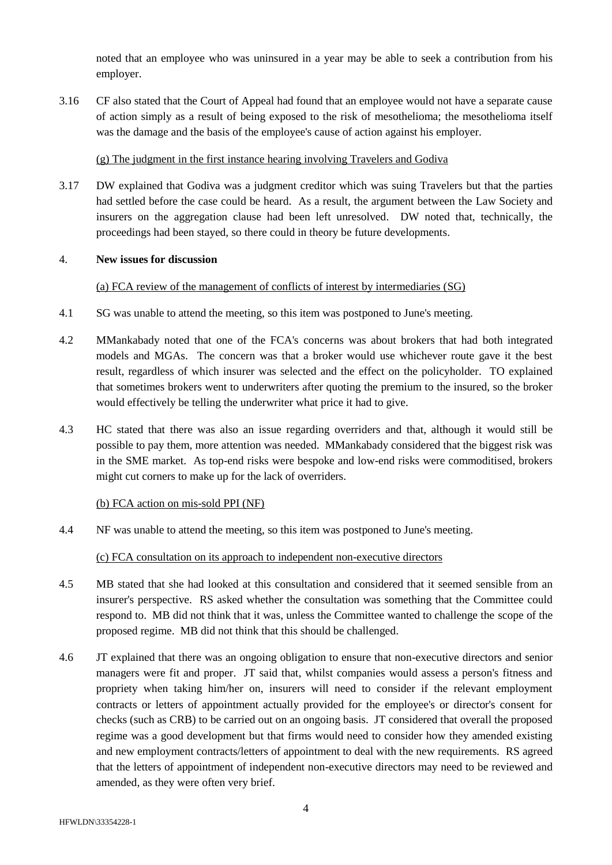noted that an employee who was uninsured in a year may be able to seek a contribution from his employer.

3.16 CF also stated that the Court of Appeal had found that an employee would not have a separate cause of action simply as a result of being exposed to the risk of mesothelioma; the mesothelioma itself was the damage and the basis of the employee's cause of action against his employer.

## (g) The judgment in the first instance hearing involving Travelers and Godiva

3.17 DW explained that Godiva was a judgment creditor which was suing Travelers but that the parties had settled before the case could be heard. As a result, the argument between the Law Society and insurers on the aggregation clause had been left unresolved. DW noted that, technically, the proceedings had been stayed, so there could in theory be future developments.

#### 4. **New issues for discussion**

## (a) FCA review of the management of conflicts of interest by intermediaries (SG)

- 4.1 SG was unable to attend the meeting, so this item was postponed to June's meeting.
- 4.2 MMankabady noted that one of the FCA's concerns was about brokers that had both integrated models and MGAs. The concern was that a broker would use whichever route gave it the best result, regardless of which insurer was selected and the effect on the policyholder. TO explained that sometimes brokers went to underwriters after quoting the premium to the insured, so the broker would effectively be telling the underwriter what price it had to give.
- 4.3 HC stated that there was also an issue regarding overriders and that, although it would still be possible to pay them, more attention was needed. MMankabady considered that the biggest risk was in the SME market. As top-end risks were bespoke and low-end risks were commoditised, brokers might cut corners to make up for the lack of overriders.

# (b) FCA action on mis-sold PPI (NF)

4.4 NF was unable to attend the meeting, so this item was postponed to June's meeting.

(c) FCA consultation on its approach to independent non-executive directors

- 4.5 MB stated that she had looked at this consultation and considered that it seemed sensible from an insurer's perspective. RS asked whether the consultation was something that the Committee could respond to. MB did not think that it was, unless the Committee wanted to challenge the scope of the proposed regime. MB did not think that this should be challenged.
- 4.6 JT explained that there was an ongoing obligation to ensure that non-executive directors and senior managers were fit and proper. JT said that, whilst companies would assess a person's fitness and propriety when taking him/her on, insurers will need to consider if the relevant employment contracts or letters of appointment actually provided for the employee's or director's consent for checks (such as CRB) to be carried out on an ongoing basis. JT considered that overall the proposed regime was a good development but that firms would need to consider how they amended existing and new employment contracts/letters of appointment to deal with the new requirements. RS agreed that the letters of appointment of independent non-executive directors may need to be reviewed and amended, as they were often very brief.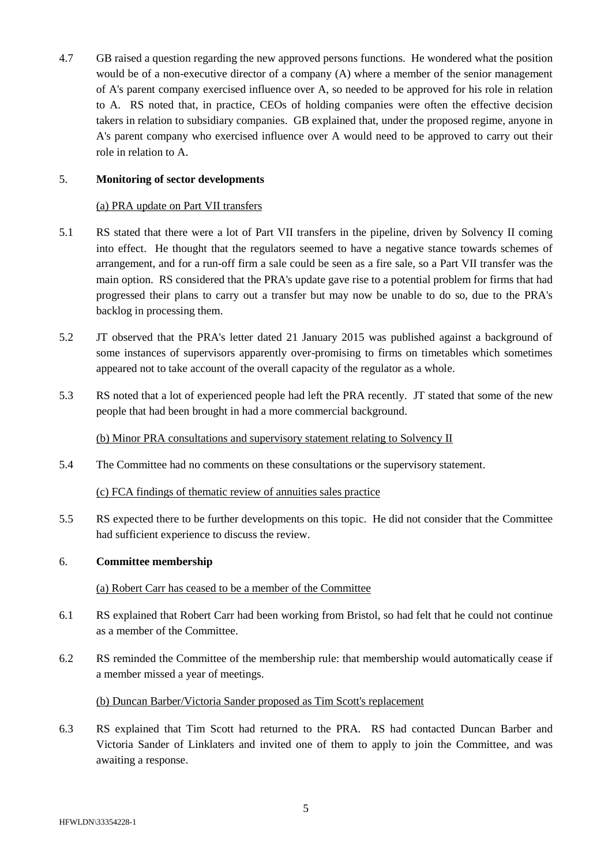4.7 GB raised a question regarding the new approved persons functions. He wondered what the position would be of a non-executive director of a company (A) where a member of the senior management of A's parent company exercised influence over A, so needed to be approved for his role in relation to A. RS noted that, in practice, CEOs of holding companies were often the effective decision takers in relation to subsidiary companies. GB explained that, under the proposed regime, anyone in A's parent company who exercised influence over A would need to be approved to carry out their role in relation to A.

## 5. **Monitoring of sector developments**

## (a) PRA update on Part VII transfers

- 5.1 RS stated that there were a lot of Part VII transfers in the pipeline, driven by Solvency II coming into effect. He thought that the regulators seemed to have a negative stance towards schemes of arrangement, and for a run-off firm a sale could be seen as a fire sale, so a Part VII transfer was the main option. RS considered that the PRA's update gave rise to a potential problem for firms that had progressed their plans to carry out a transfer but may now be unable to do so, due to the PRA's backlog in processing them.
- 5.2 JT observed that the PRA's letter dated 21 January 2015 was published against a background of some instances of supervisors apparently over-promising to firms on timetables which sometimes appeared not to take account of the overall capacity of the regulator as a whole.
- 5.3 RS noted that a lot of experienced people had left the PRA recently. JT stated that some of the new people that had been brought in had a more commercial background.

### (b) Minor PRA consultations and supervisory statement relating to Solvency II

5.4 The Committee had no comments on these consultations or the supervisory statement.

#### (c) FCA findings of thematic review of annuities sales practice

5.5 RS expected there to be further developments on this topic. He did not consider that the Committee had sufficient experience to discuss the review.

#### 6. **Committee membership**

#### (a) Robert Carr has ceased to be a member of the Committee

- 6.1 RS explained that Robert Carr had been working from Bristol, so had felt that he could not continue as a member of the Committee.
- 6.2 RS reminded the Committee of the membership rule: that membership would automatically cease if a member missed a year of meetings.

# (b) Duncan Barber/Victoria Sander proposed as Tim Scott's replacement

6.3 RS explained that Tim Scott had returned to the PRA. RS had contacted Duncan Barber and Victoria Sander of Linklaters and invited one of them to apply to join the Committee, and was awaiting a response.